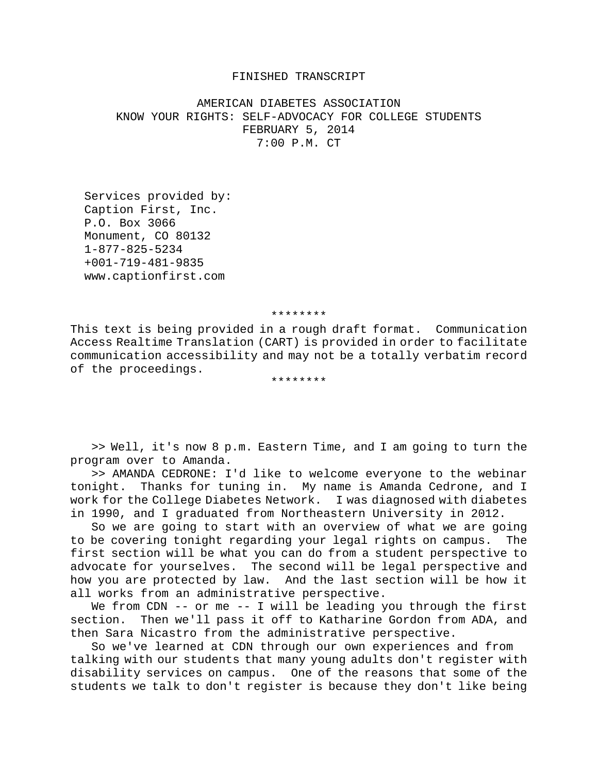## FINISHED TRANSCRIPT

AMERICAN DIABETES ASSOCIATION KNOW YOUR RIGHTS: SELF-ADVOCACY FOR COLLEGE STUDENTS FEBRUARY 5, 2014 7:00 P.M. CT

 Services provided by: Caption First, Inc. P.O. Box 3066 Monument, CO 80132 1-877-825-5234 +001-719-481-9835 www.captionfirst.com

## \*\*\*\*\*\*\*\*

This text is being provided in a rough draft format. Communication Access Realtime Translation (CART) is provided in order to facilitate communication accessibility and may not be a totally verbatim record of the proceedings.

## \*\*\*\*\*\*\*\*

>> Well, it's now 8 p.m. Eastern Time, and I am going to turn the program over to Amanda.

>> AMANDA CEDRONE: I'd like to welcome everyone to the webinar tonight. Thanks for tuning in. My name is Amanda Cedrone, and I work for the College Diabetes Network. I was diagnosed with diabetes in 1990, and I graduated from Northeastern University in 2012.

So we are going to start with an overview of what we are going to be covering tonight regarding your legal rights on campus. The first section will be what you can do from a student perspective to advocate for yourselves. The second will be legal perspective and how you are protected by law. And the last section will be how it all works from an administrative perspective.

We from CDN -- or me -- I will be leading you through the first section. Then we'll pass it off to Katharine Gordon from ADA, and then Sara Nicastro from the administrative perspective.

So we've learned at CDN through our own experiences and from talking with our students that many young adults don't register with disability services on campus. One of the reasons that some of the students we talk to don't register is because they don't like being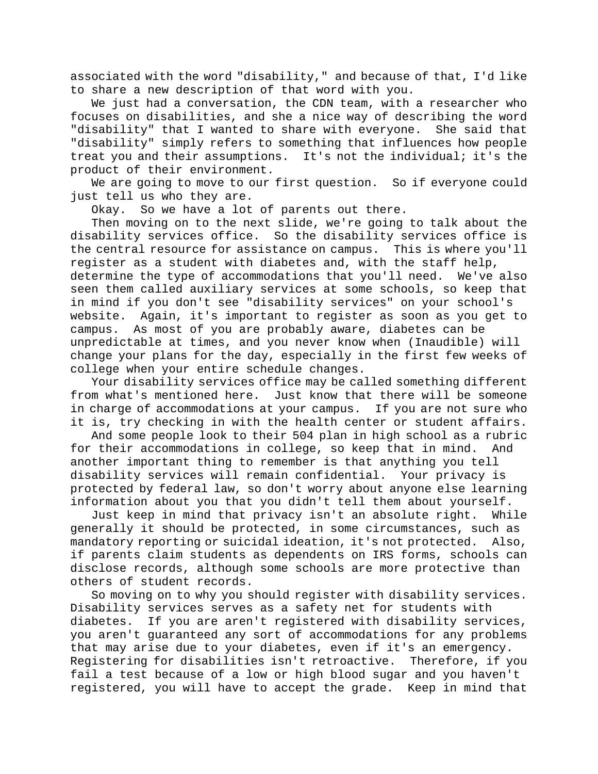associated with the word "disability," and because of that, I'd like to share a new description of that word with you.

We just had a conversation, the CDN team, with a researcher who focuses on disabilities, and she a nice way of describing the word "disability" that I wanted to share with everyone. She said that "disability" simply refers to something that influences how people<br>treat you and their assumptions. It's not the individual; it's the It's not the individual; it's the product of their environment.

We are going to move to our first question. So if everyone could just tell us who they are.

Okay. So we have a lot of parents out there.

Then moving on to the next slide, we're going to talk about the disability services office. So the disability services office is the central resource for assistance on campus. This is where you'll register as a student with diabetes and, with the staff help, determine the type of accommodations that you'll need. We've also seen them called auxiliary services at some schools, so keep that in mind if you don't see "disability services" on your school's website. Again, it's important to register as soon as you get to campus. As most of you are probably aware, diabetes can be unpredictable at times, and you never know when (Inaudible) will change your plans for the day, especially in the first few weeks of college when your entire schedule changes.

Your disability services office may be called something different from what's mentioned here. Just know that there will be someone in charge of accommodations at your campus. If you are not sure who it is, try checking in with the health center or student affairs.

And some people look to their 504 plan in high school as a rubric for their accommodations in college, so keep that in mind. And another important thing to remember is that anything you tell disability services will remain confidential. Your privacy is protected by federal law, so don't worry about anyone else learning information about you that you didn't tell them about yourself.

Just keep in mind that privacy isn't an absolute right. While generally it should be protected, in some circumstances, such as<br>mandatory reporting or suicidal ideation, it's not protected. Also, mandatory reporting or suicidal ideation, it's not protected. if parents claim students as dependents on IRS forms, schools can disclose records, although some schools are more protective than others of student records.

So moving on to why you should register with disability services. Disability services serves as a safety net for students with diabetes. If you are aren't registered with disability services, you aren't guaranteed any sort of accommodations for any problems that may arise due to your diabetes, even if it's an emergency. Registering for disabilities isn't retroactive. Therefore, if you fail a test because of a low or high blood sugar and you haven't registered, you will have to accept the grade. Keep in mind that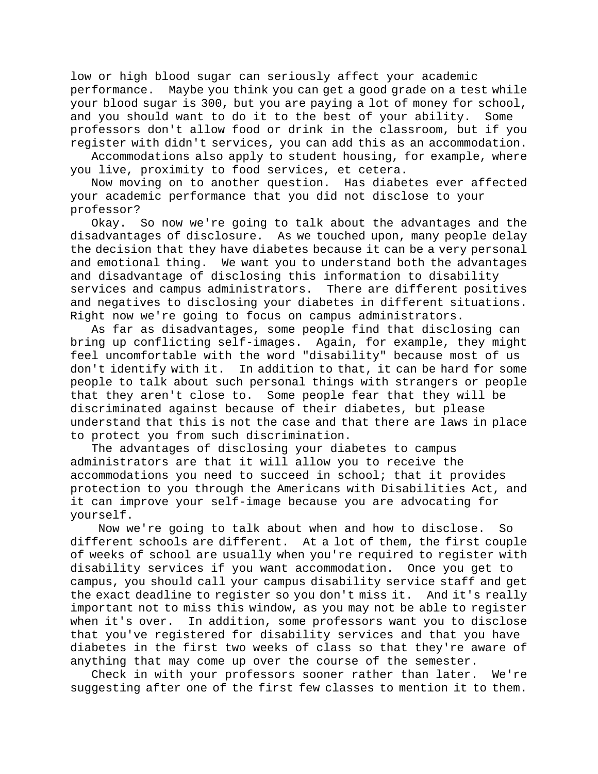low or high blood sugar can seriously affect your academic performance. Maybe you think you can get a good grade on a test while your blood sugar is 300, but you are paying a lot of money for school, and you should want to do it to the best of your ability. Some professors don't allow food or drink in the classroom, but if you register with didn't services, you can add this as an accommodation.

Accommodations also apply to student housing, for example, where you live, proximity to food services, et cetera.

Now moving on to another question. Has diabetes ever affected your academic performance that you did not disclose to your professor?

Okay. So now we're going to talk about the advantages and the disadvantages of disclosure. As we touched upon, many people delay the decision that they have diabetes because it can be a very personal and emotional thing. We want you to understand both the advantages and disadvantage of disclosing this information to disability services and campus administrators. There are different positives and negatives to disclosing your diabetes in different situations. Right now we're going to focus on campus administrators.

As far as disadvantages, some people find that disclosing can bring up conflicting self-images. Again, for example, they might feel uncomfortable with the word "disability" because most of us don't identify with it. In addition to that, it can be hard for some people to talk about such personal things with strangers or people that they aren't close to. Some people fear that they will be discriminated against because of their diabetes, but please understand that this is not the case and that there are laws in place to protect you from such discrimination.

The advantages of disclosing your diabetes to campus administrators are that it will allow you to receive the accommodations you need to succeed in school; that it provides protection to you through the Americans with Disabilities Act, and it can improve your self-image because you are advocating for yourself.

Now we're going to talk about when and how to disclose. So different schools are different. At a lot of them, the first couple of weeks of school are usually when you're required to register with disability services if you want accommodation. Once you get to campus, you should call your campus disability service staff and get the exact deadline to register so you don't miss it. And it's really important not to miss this window, as you may not be able to register when it's over. In addition, some professors want you to disclose that you've registered for disability services and that you have diabetes in the first two weeks of class so that they're aware of anything that may come up over the course of the semester.

Check in with your professors sooner rather than later. We're suggesting after one of the first few classes to mention it to them.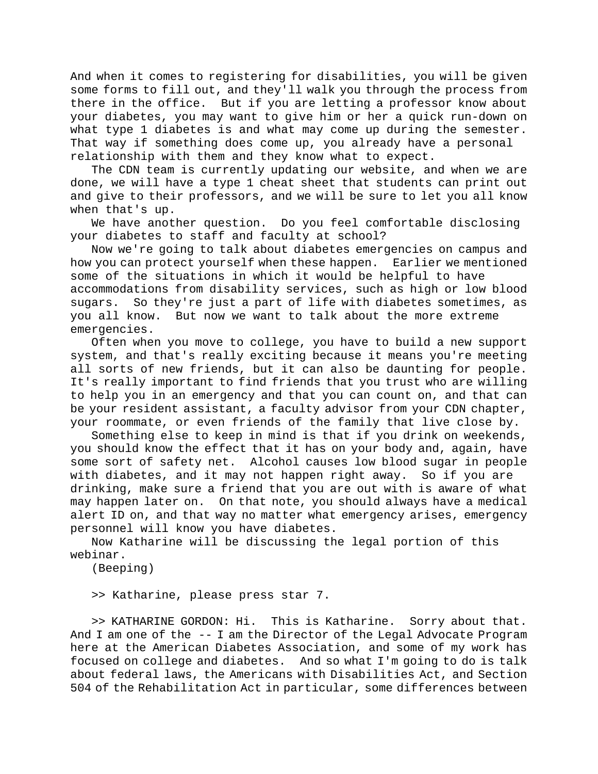And when it comes to registering for disabilities, you will be given some forms to fill out, and they'll walk you through the process from there in the office. But if you are letting a professor know about your diabetes, you may want to give him or her a quick run-down on what type 1 diabetes is and what may come up during the semester. That way if something does come up, you already have a personal relationship with them and they know what to expect.

The CDN team is currently updating our website, and when we are done, we will have a type 1 cheat sheet that students can print out and give to their professors, and we will be sure to let you all know when that's up.

We have another question. Do you feel comfortable disclosing your diabetes to staff and faculty at school?

Now we're going to talk about diabetes emergencies on campus and how you can protect yourself when these happen. Earlier we mentioned some of the situations in which it would be helpful to have accommodations from disability services, such as high or low blood sugars. So they're just a part of life with diabetes sometimes, as you all know. But now we want to talk about the more extreme emergencies.

Often when you move to college, you have to build a new support system, and that's really exciting because it means you're meeting all sorts of new friends, but it can also be daunting for people. It's really important to find friends that you trust who are willing to help you in an emergency and that you can count on, and that can be your resident assistant, a faculty advisor from your CDN chapter, your roommate, or even friends of the family that live close by.

Something else to keep in mind is that if you drink on weekends, you should know the effect that it has on your body and, again, have some sort of safety net. Alcohol causes low blood sugar in people with diabetes, and it may not happen right away. So if you are drinking, make sure a friend that you are out with is aware of what may happen later on. On that note, you should always have a medical alert ID on, and that way no matter what emergency arises, emergency personnel will know you have diabetes.

Now Katharine will be discussing the legal portion of this webinar.

(Beeping)

>> Katharine, please press star 7.

>> KATHARINE GORDON: Hi. This is Katharine. Sorry about that. And I am one of the -- I am the Director of the Legal Advocate Program here at the American Diabetes Association, and some of my work has focused on college and diabetes. And so what I'm going to do is talk about federal laws, the Americans with Disabilities Act, and Section 504 of the Rehabilitation Act in particular, some differences between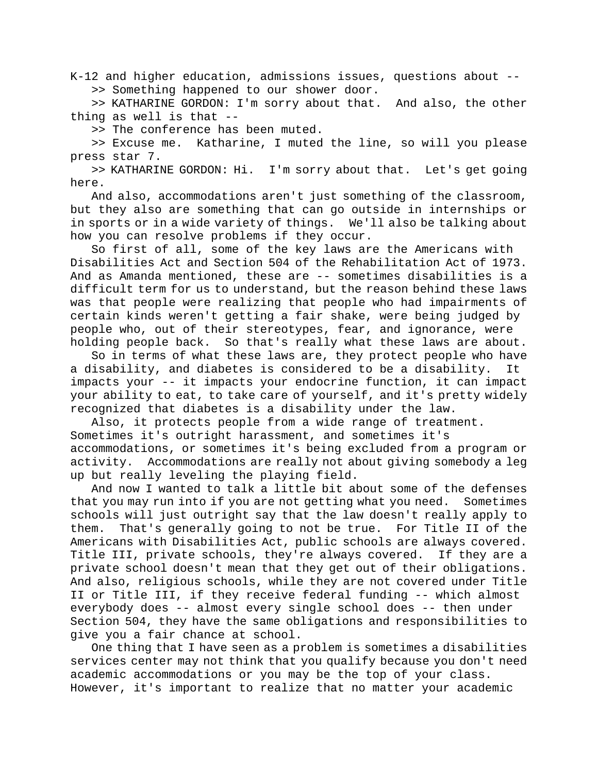K-12 and higher education, admissions issues, questions about -- >> Something happened to our shower door.

>> KATHARINE GORDON: I'm sorry about that. And also, the other thing as well is that --

>> The conference has been muted.

>> Excuse me. Katharine, I muted the line, so will you please press star 7.

>> KATHARINE GORDON: Hi. I'm sorry about that. Let's get going here.

And also, accommodations aren't just something of the classroom, but they also are something that can go outside in internships or in sports or in a wide variety of things. We'll also be talking about how you can resolve problems if they occur.

So first of all, some of the key laws are the Americans with Disabilities Act and Section 504 of the Rehabilitation Act of 1973. And as Amanda mentioned, these are -- sometimes disabilities is a difficult term for us to understand, but the reason behind these laws was that people were realizing that people who had impairments of certain kinds weren't getting a fair shake, were being judged by people who, out of their stereotypes, fear, and ignorance, were holding people back. So that's really what these laws are about.

So in terms of what these laws are, they protect people who have a disability, and diabetes is considered to be a disability. It impacts your -- it impacts your endocrine function, it can impact your ability to eat, to take care of yourself, and it's pretty widely recognized that diabetes is a disability under the law.

Also, it protects people from a wide range of treatment. Sometimes it's outright harassment, and sometimes it's accommodations, or sometimes it's being excluded from a program or activity. Accommodations are really not about giving somebody a leg up but really leveling the playing field.

And now I wanted to talk a little bit about some of the defenses that you may run into if you are not getting what you need. Sometimes schools will just outright say that the law doesn't really apply to them. That's generally going to not be true. For Title II of the Americans with Disabilities Act, public schools are always covered. Title III, private schools, they're always covered. If they are a private school doesn't mean that they get out of their obligations. And also, religious schools, while they are not covered under Title II or Title III, if they receive federal funding -- which almost everybody does -- almost every single school does -- then under Section 504, they have the same obligations and responsibilities to give you a fair chance at school.

One thing that I have seen as a problem is sometimes a disabilities services center may not think that you qualify because you don't need academic accommodations or you may be the top of your class. However, it's important to realize that no matter your academic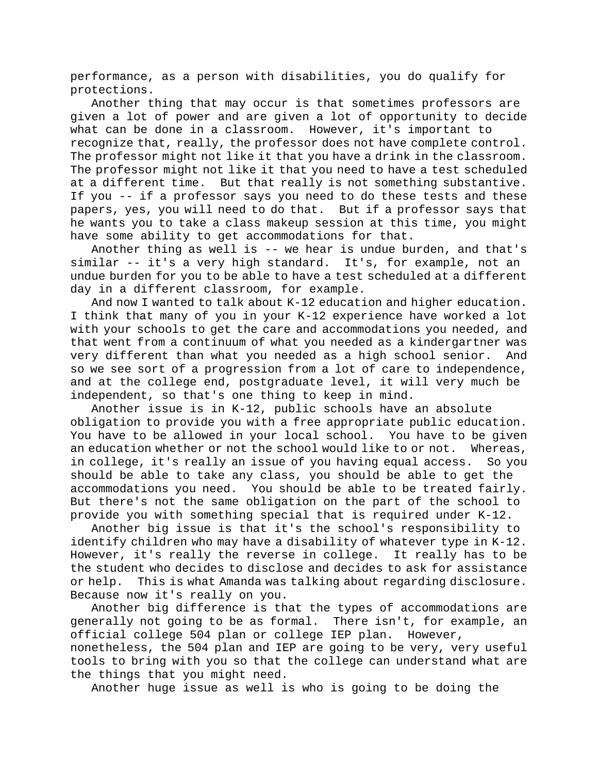performance, as a person with disabilities, you do qualify for protections.

Another thing that may occur is that sometimes professors are given a lot of power and are given a lot of opportunity to decide what can be done in a classroom. However, it's important to recognize that, really, the professor does not have complete control. The professor might not like it that you have a drink in the classroom. The professor might not like it that you need to have a test scheduled at a different time. But that really is not something substantive. If you -- if a professor says you need to do these tests and these papers, yes, you will need to do that. But if a professor says that he wants you to take a class makeup session at this time, you might have some ability to get accommodations for that.

Another thing as well is -- we hear is undue burden, and that's similar -- it's a very high standard. It's, for example, not an undue burden for you to be able to have a test scheduled at a different day in a different classroom, for example.

And now I wanted to talk about K-12 education and higher education. I think that many of you in your K-12 experience have worked a lot with your schools to get the care and accommodations you needed, and that went from a continuum of what you needed as a kindergartner was very different than what you needed as a high school senior. And so we see sort of a progression from a lot of care to independence, and at the college end, postgraduate level, it will very much be independent, so that's one thing to keep in mind.

Another issue is in K-12, public schools have an absolute obligation to provide you with a free appropriate public education. You have to be allowed in your local school. You have to be given an education whether or not the school would like to or not. Whereas, in college, it's really an issue of you having equal access. So you should be able to take any class, you should be able to get the accommodations you need. You should be able to be treated fairly. But there's not the same obligation on the part of the school to provide you with something special that is required under K-12.

Another big issue is that it's the school's responsibility to identify children who may have a disability of whatever type in K-12. However, it's really the reverse in college. It really has to be the student who decides to disclose and decides to ask for assistance or help. This is what Amanda was talking about regarding disclosure. Because now it's really on you.

Another big difference is that the types of accommodations are generally not going to be as formal. There isn't, for example, an official college 504 plan or college IEP plan. However,

nonetheless, the 504 plan and IEP are going to be very, very useful tools to bring with you so that the college can understand what are the things that you might need.

Another huge issue as well is who is going to be doing the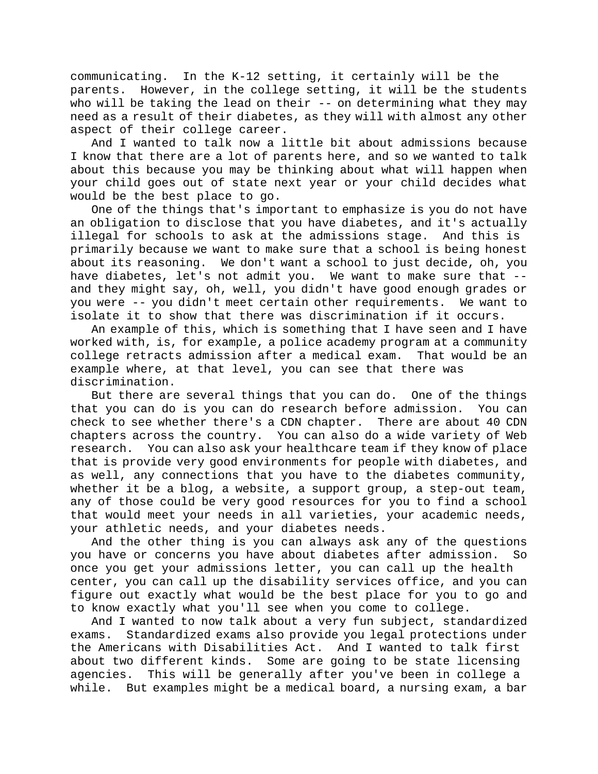communicating. In the K-12 setting, it certainly will be the parents. However, in the college setting, it will be the students who will be taking the lead on their -- on determining what they may need as a result of their diabetes, as they will with almost any other aspect of their college career.

And I wanted to talk now a little bit about admissions because I know that there are a lot of parents here, and so we wanted to talk about this because you may be thinking about what will happen when your child goes out of state next year or your child decides what would be the best place to go.

One of the things that's important to emphasize is you do not have an obligation to disclose that you have diabetes, and it's actually illegal for schools to ask at the admissions stage. And this is primarily because we want to make sure that a school is being honest about its reasoning. We don't want a school to just decide, oh, you have diabetes, let's not admit you. We want to make sure that - and they might say, oh, well, you didn't have good enough grades or you were -- you didn't meet certain other requirements. We want to isolate it to show that there was discrimination if it occurs.

An example of this, which is something that I have seen and I have worked with, is, for example, a police academy program at a community college retracts admission after a medical exam. That would be an example where, at that level, you can see that there was discrimination.

But there are several things that you can do. One of the things that you can do is you can do research before admission. You can check to see whether there's a CDN chapter. There are about 40 CDN chapters across the country. You can also do a wide variety of Web research. You can also ask your healthcare team if they know of place that is provide very good environments for people with diabetes, and as well, any connections that you have to the diabetes community, whether it be a blog, a website, a support group, a step-out team, any of those could be very good resources for you to find a school that would meet your needs in all varieties, your academic needs, your athletic needs, and your diabetes needs.

And the other thing is you can always ask any of the questions you have or concerns you have about diabetes after admission. So once you get your admissions letter, you can call up the health center, you can call up the disability services office, and you can figure out exactly what would be the best place for you to go and to know exactly what you'll see when you come to college.

And I wanted to now talk about a very fun subject, standardized exams. Standardized exams also provide you legal protections under the Americans with Disabilities Act. And I wanted to talk first about two different kinds. Some are going to be state licensing agencies. This will be generally after you've been in college a while. But examples might be a medical board, a nursing exam, a bar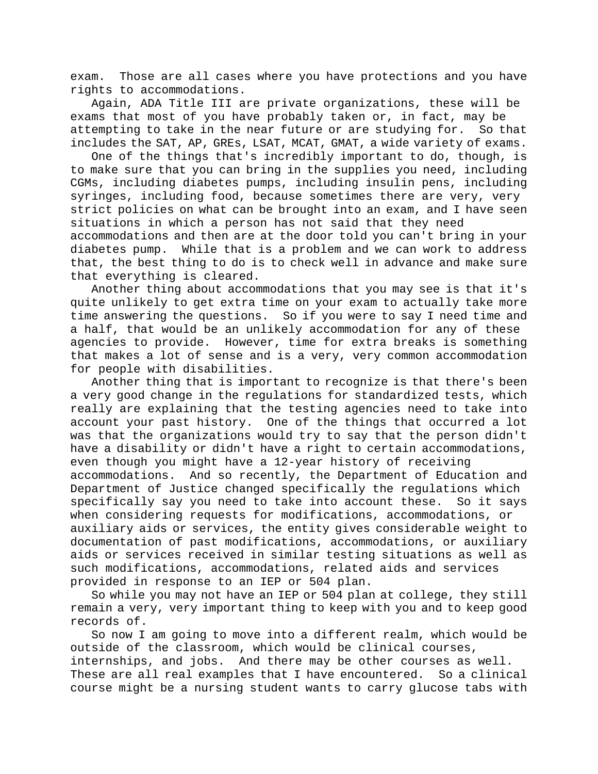exam. Those are all cases where you have protections and you have rights to accommodations.

Again, ADA Title III are private organizations, these will be exams that most of you have probably taken or, in fact, may be attempting to take in the near future or are studying for. So that attempting to take in the near future or are studying for. includes the SAT, AP, GREs, LSAT, MCAT, GMAT, a wide variety of exams.

One of the things that's incredibly important to do, though, is to make sure that you can bring in the supplies you need, including CGMs, including diabetes pumps, including insulin pens, including syringes, including food, because sometimes there are very, very strict policies on what can be brought into an exam, and I have seen situations in which a person has not said that they need

accommodations and then are at the door told you can't bring in your diabetes pump. While that is a problem and we can work to address that, the best thing to do is to check well in advance and make sure that everything is cleared.

Another thing about accommodations that you may see is that it's quite unlikely to get extra time on your exam to actually take more time answering the questions. So if you were to say I need time and a half, that would be an unlikely accommodation for any of these agencies to provide. However, time for extra breaks is something that makes a lot of sense and is a very, very common accommodation for people with disabilities.

Another thing that is important to recognize is that there's been a very good change in the regulations for standardized tests, which really are explaining that the testing agencies need to take into account your past history. One of the things that occurred a lot was that the organizations would try to say that the person didn't have a disability or didn't have a right to certain accommodations, even though you might have a 12-year history of receiving accommodations. And so recently, the Department of Education and Department of Justice changed specifically the regulations which specifically say you need to take into account these. So it says when considering requests for modifications, accommodations, or auxiliary aids or services, the entity gives considerable weight to documentation of past modifications, accommodations, or auxiliary aids or services received in similar testing situations as well as such modifications, accommodations, related aids and services provided in response to an IEP or 504 plan.

So while you may not have an IEP or 504 plan at college, they still remain a very, very important thing to keep with you and to keep good records of.

So now I am going to move into a different realm, which would be outside of the classroom, which would be clinical courses, internships, and jobs. And there may be other courses as well. These are all real examples that I have encountered. So a clinical course might be a nursing student wants to carry glucose tabs with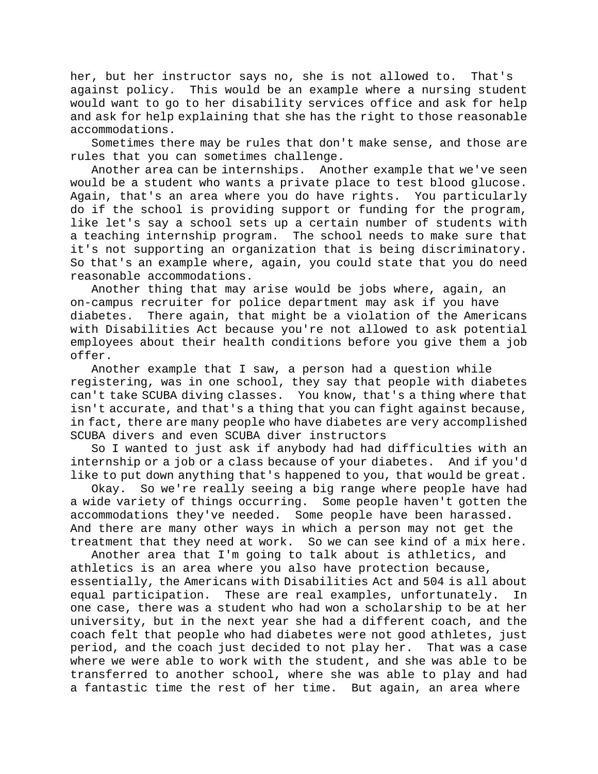her, but her instructor says no, she is not allowed to. That's against policy. This would be an example where a nursing student would want to go to her disability services office and ask for help and ask for help explaining that she has the right to those reasonable accommodations.

Sometimes there may be rules that don't make sense, and those are rules that you can sometimes challenge.

Another area can be internships. Another example that we've seen would be a student who wants a private place to test blood glucose. Again, that's an area where you do have rights. You particularly do if the school is providing support or funding for the program, like let's say a school sets up a certain number of students with a teaching internship program. The school needs to make sure that it's not supporting an organization that is being discriminatory. So that's an example where, again, you could state that you do need reasonable accommodations.

Another thing that may arise would be jobs where, again, an on-campus recruiter for police department may ask if you have diabetes. There again, that might be a violation of the Americans with Disabilities Act because you're not allowed to ask potential employees about their health conditions before you give them a job offer.

Another example that I saw, a person had a question while registering, was in one school, they say that people with diabetes can't take SCUBA diving classes. You know, that's a thing where that isn't accurate, and that's a thing that you can fight against because, in fact, there are many people who have diabetes are very accomplished SCUBA divers and even SCUBA diver instructors

So I wanted to just ask if anybody had had difficulties with an internship or a job or a class because of your diabetes. And if you'd like to put down anything that's happened to you, that would be great.

Okay. So we're really seeing a big range where people have had a wide variety of things occurring. Some people haven't gotten the accommodations they've needed. Some people have been harassed. And there are many other ways in which a person may not get the treatment that they need at work. So we can see kind of a mix here.

Another area that I'm going to talk about is athletics, and athletics is an area where you also have protection because, essentially, the Americans with Disabilities Act and 504 is all about equal participation. These are real examples, unfortunately. In one case, there was a student who had won a scholarship to be at her university, but in the next year she had a different coach, and the coach felt that people who had diabetes were not good athletes, just period, and the coach just decided to not play her. That was a case where we were able to work with the student, and she was able to be transferred to another school, where she was able to play and had a fantastic time the rest of her time. But again, an area where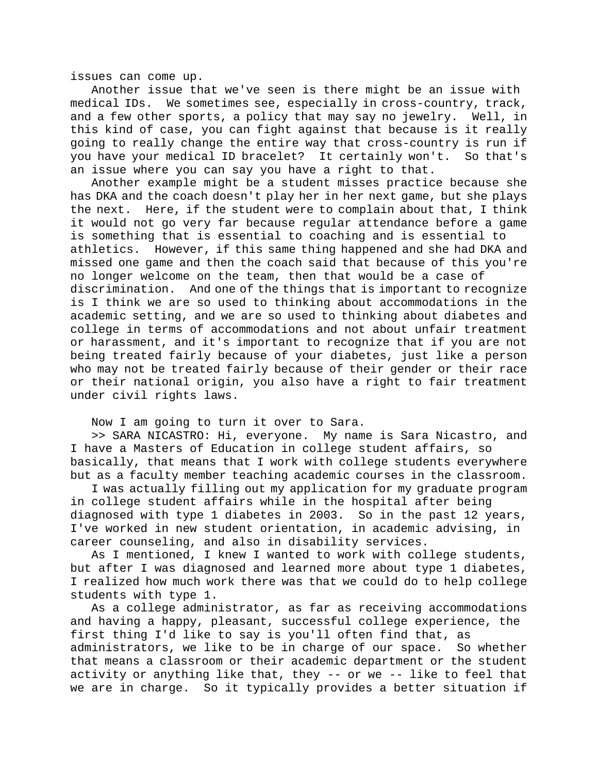issues can come up.

Another issue that we've seen is there might be an issue with medical IDs. We sometimes see, especially in cross-country, track, and a few other sports, a policy that may say no jewelry. Well, in this kind of case, you can fight against that because is it really going to really change the entire way that cross-country is run if you have your medical ID bracelet? It certainly won't. So that's an issue where you can say you have a right to that.

Another example might be a student misses practice because she has DKA and the coach doesn't play her in her next game, but she plays the next. Here, if the student were to complain about that, I think it would not go very far because regular attendance before a game is something that is essential to coaching and is essential to athletics. However, if this same thing happened and she had DKA and missed one game and then the coach said that because of this you're no longer welcome on the team, then that would be a case of discrimination. And one of the things that is important to recognize is I think we are so used to thinking about accommodations in the academic setting, and we are so used to thinking about diabetes and college in terms of accommodations and not about unfair treatment or harassment, and it's important to recognize that if you are not being treated fairly because of your diabetes, just like a person who may not be treated fairly because of their gender or their race or their national origin, you also have a right to fair treatment under civil rights laws.

Now I am going to turn it over to Sara.

>> SARA NICASTRO: Hi, everyone. My name is Sara Nicastro, and I have a Masters of Education in college student affairs, so basically, that means that I work with college students everywhere but as a faculty member teaching academic courses in the classroom.

I was actually filling out my application for my graduate program in college student affairs while in the hospital after being diagnosed with type 1 diabetes in 2003. So in the past 12 years, I've worked in new student orientation, in academic advising, in career counseling, and also in disability services.

As I mentioned, I knew I wanted to work with college students, but after I was diagnosed and learned more about type 1 diabetes, I realized how much work there was that we could do to help college students with type 1.

As a college administrator, as far as receiving accommodations and having a happy, pleasant, successful college experience, the first thing I'd like to say is you'll often find that, as administrators, we like to be in charge of our space. So whether that means a classroom or their academic department or the student activity or anything like that, they -- or we -- like to feel that we are in charge. So it typically provides a better situation if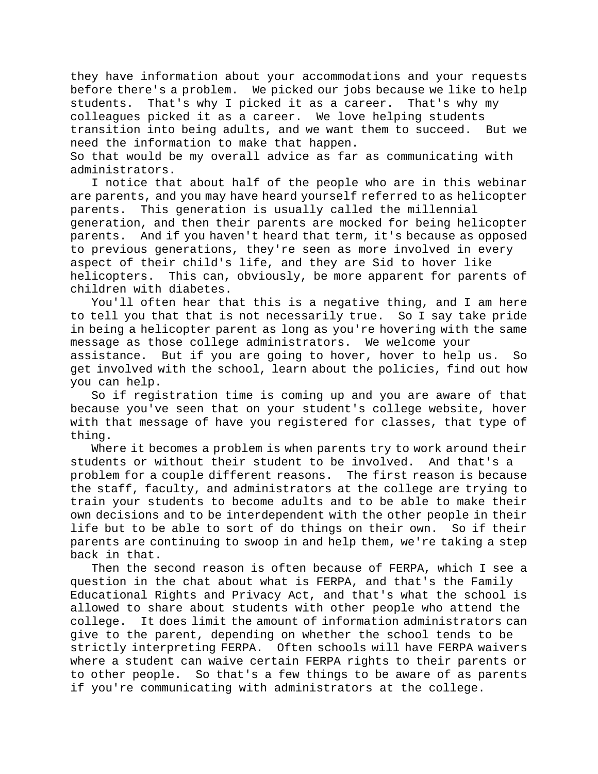they have information about your accommodations and your requests before there's a problem. We picked our jobs because we like to help students. That's why I picked it as a career. That's why my colleagues picked it as a career. We love helping students transition into being adults, and we want them to succeed. But we need the information to make that happen.

So that would be my overall advice as far as communicating with administrators.

I notice that about half of the people who are in this webinar are parents, and you may have heard yourself referred to as helicopter parents. This generation is usually called the millennial generation, and then their parents are mocked for being helicopter parents. And if you haven't heard that term, it's because as opposed to previous generations, they're seen as more involved in every aspect of their child's life, and they are Sid to hover like helicopters. This can, obviously, be more apparent for parents of children with diabetes.

You'll often hear that this is a negative thing, and I am here to tell you that that is not necessarily true. So I say take pride in being a helicopter parent as long as you're hovering with the same message as those college administrators. We welcome your assistance. But if you are going to hover, hover to help us. So get involved with the school, learn about the policies, find out how you can help.

So if registration time is coming up and you are aware of that because you've seen that on your student's college website, hover with that message of have you registered for classes, that type of thing.

Where it becomes a problem is when parents try to work around their students or without their student to be involved. And that's a problem for a couple different reasons. The first reason is because the staff, faculty, and administrators at the college are trying to train your students to become adults and to be able to make their own decisions and to be interdependent with the other people in their life but to be able to sort of do things on their own. So if their parents are continuing to swoop in and help them, we're taking a step back in that.

Then the second reason is often because of FERPA, which I see a question in the chat about what is FERPA, and that's the Family Educational Rights and Privacy Act, and that's what the school is allowed to share about students with other people who attend the college. It does limit the amount of information administrators can give to the parent, depending on whether the school tends to be strictly interpreting FERPA. Often schools will have FERPA waivers where a student can waive certain FERPA rights to their parents or to other people. So that's a few things to be aware of as parents if you're communicating with administrators at the college.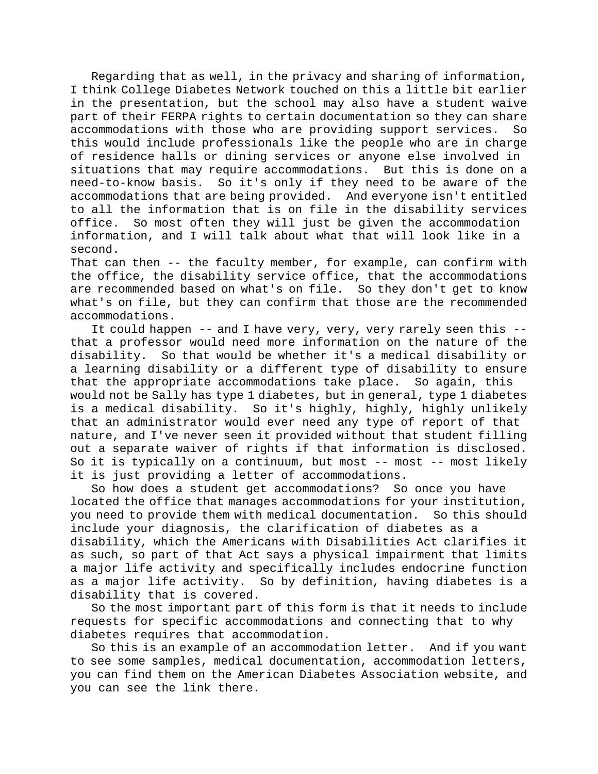Regarding that as well, in the privacy and sharing of information, I think College Diabetes Network touched on this a little bit earlier in the presentation, but the school may also have a student waive part of their FERPA rights to certain documentation so they can share accommodations with those who are providing support services. So this would include professionals like the people who are in charge of residence halls or dining services or anyone else involved in situations that may require accommodations. But this is done on a need-to-know basis. So it's only if they need to be aware of the accommodations that are being provided. And everyone isn't entitled to all the information that is on file in the disability services office. So most often they will just be given the accommodation information, and I will talk about what that will look like in a second.

That can then -- the faculty member, for example, can confirm with the office, the disability service office, that the accommodations are recommended based on what's on file. So they don't get to know what's on file, but they can confirm that those are the recommended accommodations.

It could happen -- and I have very, very, very rarely seen this - that a professor would need more information on the nature of the disability. So that would be whether it's a medical disability or a learning disability or a different type of disability to ensure that the appropriate accommodations take place. So again, this would not be Sally has type 1 diabetes, but in general, type 1 diabetes is a medical disability. So it's highly, highly, highly unlikely that an administrator would ever need any type of report of that nature, and I've never seen it provided without that student filling out a separate waiver of rights if that information is disclosed. So it is typically on a continuum, but most -- most -- most likely it is just providing a letter of accommodations.

So how does a student get accommodations? So once you have located the office that manages accommodations for your institution, you need to provide them with medical documentation. So this should include your diagnosis, the clarification of diabetes as a disability, which the Americans with Disabilities Act clarifies it as such, so part of that Act says a physical impairment that limits a major life activity and specifically includes endocrine function as a major life activity. So by definition, having diabetes is a disability that is covered.

So the most important part of this form is that it needs to include requests for specific accommodations and connecting that to why diabetes requires that accommodation.

So this is an example of an accommodation letter. And if you want to see some samples, medical documentation, accommodation letters, you can find them on the American Diabetes Association website, and you can see the link there.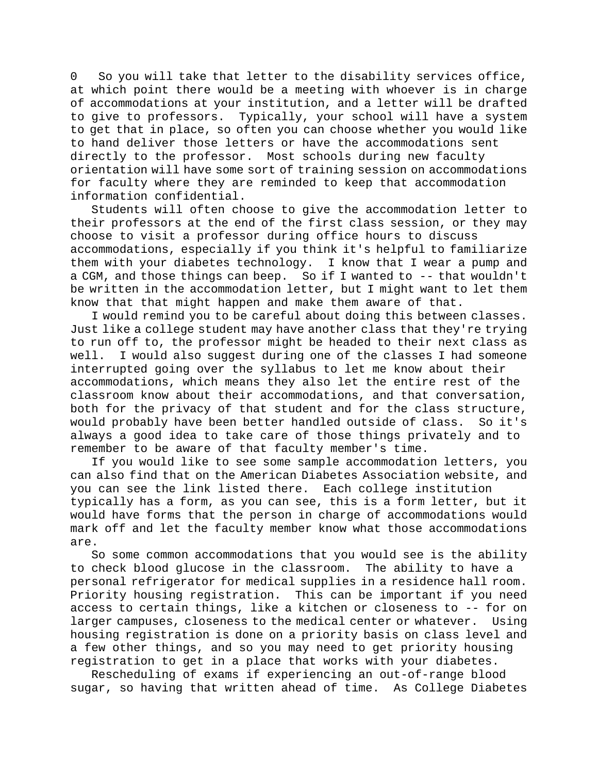0 So you will take that letter to the disability services office, at which point there would be a meeting with whoever is in charge of accommodations at your institution, and a letter will be drafted to give to professors. Typically, your school will have a system to get that in place, so often you can choose whether you would like to hand deliver those letters or have the accommodations sent directly to the professor. Most schools during new faculty orientation will have some sort of training session on accommodations for faculty where they are reminded to keep that accommodation information confidential.

Students will often choose to give the accommodation letter to their professors at the end of the first class session, or they may choose to visit a professor during office hours to discuss accommodations, especially if you think it's helpful to familiarize them with your diabetes technology. I know that I wear a pump and a CGM, and those things can beep. So if I wanted to -- that wouldn't be written in the accommodation letter, but I might want to let them know that that might happen and make them aware of that.

I would remind you to be careful about doing this between classes. Just like a college student may have another class that they're trying to run off to, the professor might be headed to their next class as well. I would also suggest during one of the classes I had someone interrupted going over the syllabus to let me know about their accommodations, which means they also let the entire rest of the classroom know about their accommodations, and that conversation, both for the privacy of that student and for the class structure,<br>would probably have been better handled outside of class. So it's would probably have been better handled outside of class. always a good idea to take care of those things privately and to remember to be aware of that faculty member's time.

If you would like to see some sample accommodation letters, you can also find that on the American Diabetes Association website, and you can see the link listed there. Each college institution typically has a form, as you can see, this is a form letter, but it would have forms that the person in charge of accommodations would mark off and let the faculty member know what those accommodations are.

So some common accommodations that you would see is the ability to check blood glucose in the classroom. The ability to have a personal refrigerator for medical supplies in a residence hall room. Priority housing registration. This can be important if you need access to certain things, like a kitchen or closeness to -- for on larger campuses, closeness to the medical center or whatever. Using housing registration is done on a priority basis on class level and a few other things, and so you may need to get priority housing registration to get in a place that works with your diabetes.

Rescheduling of exams if experiencing an out-of-range blood sugar, so having that written ahead of time. As College Diabetes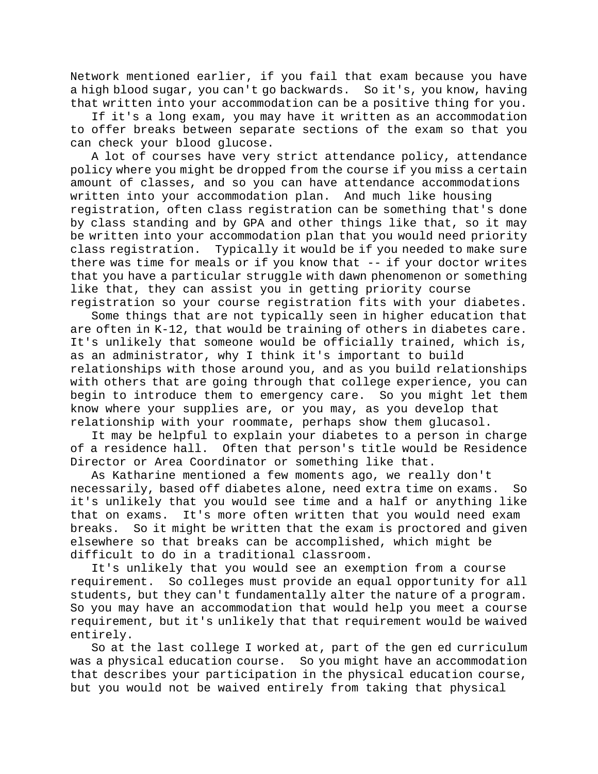Network mentioned earlier, if you fail that exam because you have a high blood sugar, you can't go backwards. So it's, you know, having that written into your accommodation can be a positive thing for you.

If it's a long exam, you may have it written as an accommodation to offer breaks between separate sections of the exam so that you can check your blood glucose.

A lot of courses have very strict attendance policy, attendance policy where you might be dropped from the course if you miss a certain amount of classes, and so you can have attendance accommodations written into your accommodation plan. And much like housing registration, often class registration can be something that's done by class standing and by GPA and other things like that, so it may be written into your accommodation plan that you would need priority class registration. Typically it would be if you needed to make sure there was time for meals or if you know that -- if your doctor writes that you have a particular struggle with dawn phenomenon or something like that, they can assist you in getting priority course

registration so your course registration fits with your diabetes. Some things that are not typically seen in higher education that are often in K-12, that would be training of others in diabetes care. It's unlikely that someone would be officially trained, which is, as an administrator, why I think it's important to build relationships with those around you, and as you build relationships with others that are going through that college experience, you can begin to introduce them to emergency care. So you might let them know where your supplies are, or you may, as you develop that relationship with your roommate, perhaps show them glucasol.

It may be helpful to explain your diabetes to a person in charge of a residence hall. Often that person's title would be Residence Director or Area Coordinator or something like that.

As Katharine mentioned a few moments ago, we really don't necessarily, based off diabetes alone, need extra time on exams. So it's unlikely that you would see time and a half or anything like that on exams. It's more often written that you would need exam breaks. So it might be written that the exam is proctored and given elsewhere so that breaks can be accomplished, which might be difficult to do in a traditional classroom.

It's unlikely that you would see an exemption from a course requirement. So colleges must provide an equal opportunity for all students, but they can't fundamentally alter the nature of a program. So you may have an accommodation that would help you meet a course requirement, but it's unlikely that that requirement would be waived entirely.

So at the last college I worked at, part of the gen ed curriculum was a physical education course. So you might have an accommodation that describes your participation in the physical education course, but you would not be waived entirely from taking that physical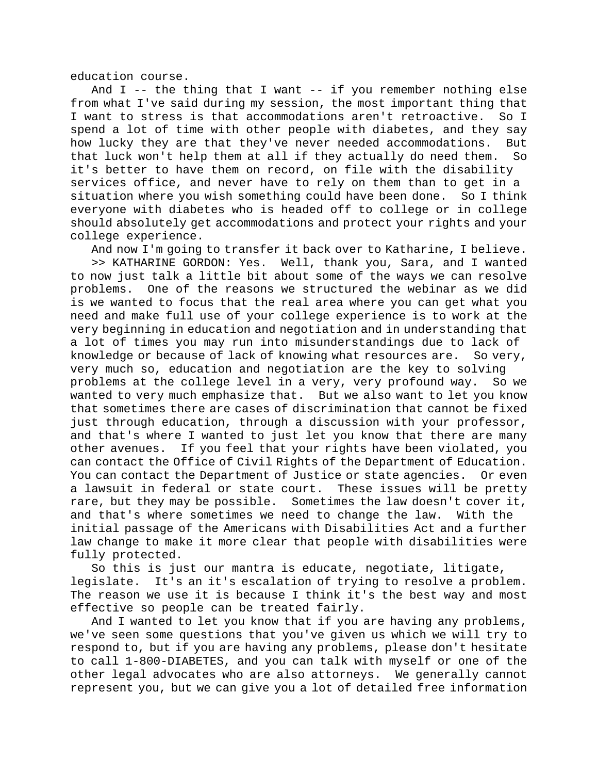education course.

And I -- the thing that I want -- if you remember nothing else from what I've said during my session, the most important thing that I want to stress is that accommodations aren't retroactive. So I spend a lot of time with other people with diabetes, and they say how lucky they are that they've never needed accommodations. But that luck won't help them at all if they actually do need them. So it's better to have them on record, on file with the disability services office, and never have to rely on them than to get in a situation where you wish something could have been done. So I think everyone with diabetes who is headed off to college or in college should absolutely get accommodations and protect your rights and your college experience.

And now I'm going to transfer it back over to Katharine, I believe.

>> KATHARINE GORDON: Yes. Well, thank you, Sara, and I wanted to now just talk a little bit about some of the ways we can resolve problems. One of the reasons we structured the webinar as we did is we wanted to focus that the real area where you can get what you need and make full use of your college experience is to work at the very beginning in education and negotiation and in understanding that a lot of times you may run into misunderstandings due to lack of knowledge or because of lack of knowing what resources are. So very, very much so, education and negotiation are the key to solving problems at the college level in a very, very profound way. So we wanted to very much emphasize that. But we also want to let you know that sometimes there are cases of discrimination that cannot be fixed just through education, through a discussion with your professor, and that's where I wanted to just let you know that there are many other avenues. If you feel that your rights have been violated, you can contact the Office of Civil Rights of the Department of Education. You can contact the Department of Justice or state agencies. Or even a lawsuit in federal or state court. These issues will be pretty rare, but they may be possible. Sometimes the law doesn't cover it, and that's where sometimes we need to change the law. With the initial passage of the Americans with Disabilities Act and a further law change to make it more clear that people with disabilities were fully protected.

So this is just our mantra is educate, negotiate, litigate, legislate. It's an it's escalation of trying to resolve a problem. The reason we use it is because I think it's the best way and most effective so people can be treated fairly.

And I wanted to let you know that if you are having any problems, we've seen some questions that you've given us which we will try to respond to, but if you are having any problems, please don't hesitate to call 1-800-DIABETES, and you can talk with myself or one of the other legal advocates who are also attorneys. We generally cannot represent you, but we can give you a lot of detailed free information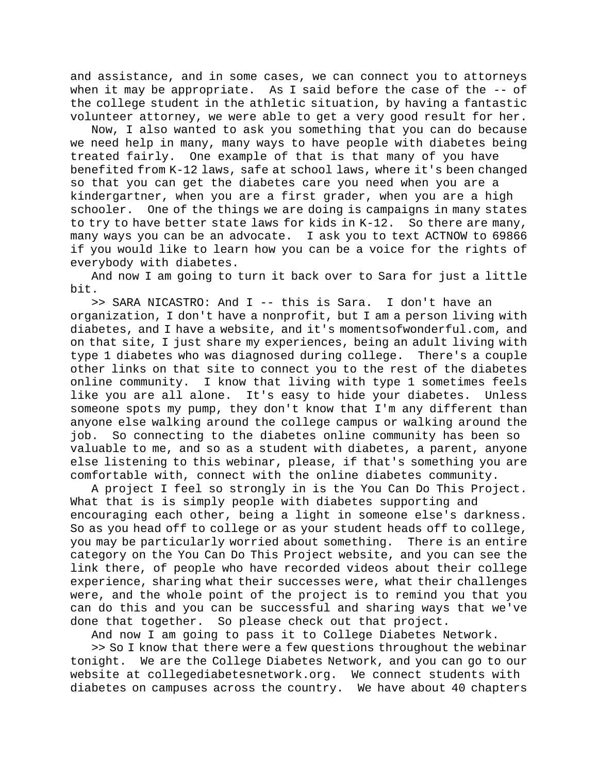and assistance, and in some cases, we can connect you to attorneys when it may be appropriate. As I said before the case of the -- of the college student in the athletic situation, by having a fantastic volunteer attorney, we were able to get a very good result for her.

Now, I also wanted to ask you something that you can do because we need help in many, many ways to have people with diabetes being treated fairly. One example of that is that many of you have benefited from K-12 laws, safe at school laws, where it's been changed so that you can get the diabetes care you need when you are a kindergartner, when you are a first grader, when you are a high schooler. One of the things we are doing is campaigns in many states to try to have better state laws for kids in K-12. So there are many, many ways you can be an advocate. I ask you to text ACTNOW to 69866 if you would like to learn how you can be a voice for the rights of everybody with diabetes.

And now I am going to turn it back over to Sara for just a little bit.

>> SARA NICASTRO: And I -- this is Sara. I don't have an organization, I don't have a nonprofit, but I am a person living with diabetes, and I have a website, and it's momentsofwonderful.com, and on that site, I just share my experiences, being an adult living with type 1 diabetes who was diagnosed during college. There's a couple other links on that site to connect you to the rest of the diabetes online community. I know that living with type 1 sometimes feels like you are all alone. It's easy to hide your diabetes. Unless someone spots my pump, they don't know that I'm any different than anyone else walking around the college campus or walking around the job. So connecting to the diabetes online community has been so valuable to me, and so as a student with diabetes, a parent, anyone else listening to this webinar, please, if that's something you are comfortable with, connect with the online diabetes community.

A project I feel so strongly in is the You Can Do This Project. What that is is simply people with diabetes supporting and encouraging each other, being a light in someone else's darkness. So as you head off to college or as your student heads off to college, you may be particularly worried about something. There is an entire category on the You Can Do This Project website, and you can see the link there, of people who have recorded videos about their college experience, sharing what their successes were, what their challenges were, and the whole point of the project is to remind you that you can do this and you can be successful and sharing ways that we've done that together. So please check out that project.

And now I am going to pass it to College Diabetes Network.

>> So I know that there were a few questions throughout the webinar tonight. We are the College Diabetes Network, and you can go to our website at collegediabetesnetwork.org. We connect students with diabetes on campuses across the country. We have about 40 chapters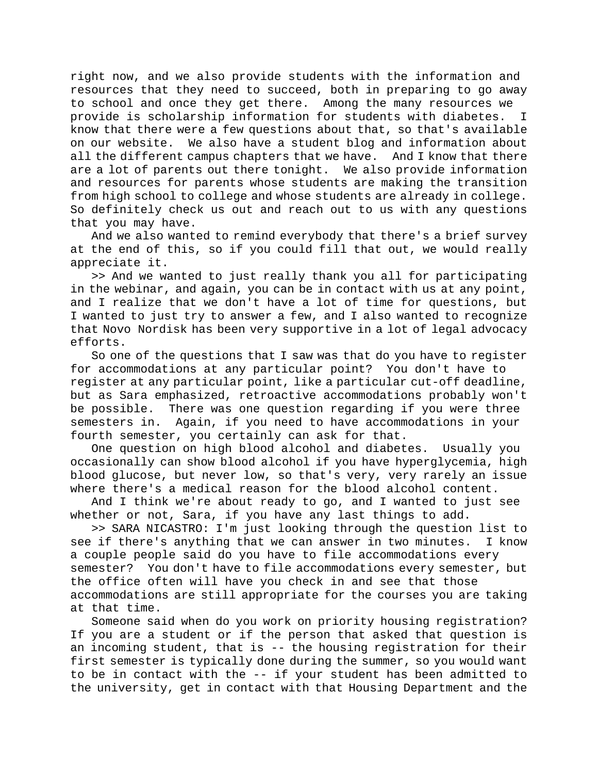right now, and we also provide students with the information and resources that they need to succeed, both in preparing to go away to school and once they get there. Among the many resources we provide is scholarship information for students with diabetes. I know that there were a few questions about that, so that's available on our website. We also have a student blog and information about all the different campus chapters that we have. And I know that there are a lot of parents out there tonight. We also provide information and resources for parents whose students are making the transition from high school to college and whose students are already in college. So definitely check us out and reach out to us with any questions that you may have.

And we also wanted to remind everybody that there's a brief survey at the end of this, so if you could fill that out, we would really appreciate it.

>> And we wanted to just really thank you all for participating in the webinar, and again, you can be in contact with us at any point, and I realize that we don't have a lot of time for questions, but I wanted to just try to answer a few, and I also wanted to recognize that Novo Nordisk has been very supportive in a lot of legal advocacy efforts.

So one of the questions that I saw was that do you have to register for accommodations at any particular point? You don't have to register at any particular point, like a particular cut-off deadline, but as Sara emphasized, retroactive accommodations probably won't be possible. There was one question regarding if you were three semesters in. Again, if you need to have accommodations in your fourth semester, you certainly can ask for that.

One question on high blood alcohol and diabetes. Usually you occasionally can show blood alcohol if you have hyperglycemia, high blood glucose, but never low, so that's very, very rarely an issue where there's a medical reason for the blood alcohol content.

And I think we're about ready to go, and I wanted to just see whether or not, Sara, if you have any last things to add.

>> SARA NICASTRO: I'm just looking through the question list to see if there's anything that we can answer in two minutes. I know a couple people said do you have to file accommodations every semester? You don't have to file accommodations every semester, but the office often will have you check in and see that those accommodations are still appropriate for the courses you are taking at that time.

Someone said when do you work on priority housing registration? If you are a student or if the person that asked that question is an incoming student, that is -- the housing registration for their first semester is typically done during the summer, so you would want to be in contact with the -- if your student has been admitted to the university, get in contact with that Housing Department and the